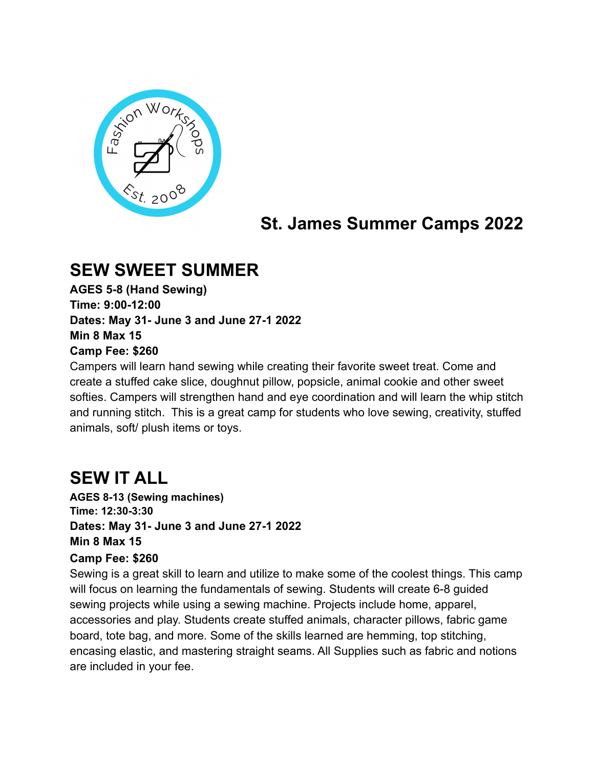

# **St. James Summer Camps 2022**

### **SEW SWEET SUMMER**

**AGES 5-8 (Hand Sewing) Time: 9:00-12:00 Dates: May 31- June 3 and June 27-1 2022 Min 8 Max 15 Camp Fee: \$260**

Campers will learn hand sewing while creating their favorite sweet treat. Come and create a stuffed cake slice, doughnut pillow, popsicle, animal cookie and other sweet softies. Campers will strengthen hand and eye coordination and will learn the whip stitch and running stitch. This is a great camp for students who love sewing, creativity, stuffed animals, soft/ plush items or toys.

# **SEW IT ALL**

**AGES 8-13 (Sewing machines) Time: 12:30-3:30 Dates: May 31- June 3 and June 27-1 2022 Min 8 Max 15**

#### **Camp Fee: \$260**

Sewing is a great skill to learn and utilize to make some of the coolest things. This camp will focus on learning the fundamentals of sewing. Students will create 6-8 guided sewing projects while using a sewing machine. Projects include home, apparel, accessories and play. Students create stuffed animals, character pillows, fabric game board, tote bag, and more. Some of the skills learned are hemming, top stitching, encasing elastic, and mastering straight seams. All Supplies such as fabric and notions are included in your fee.